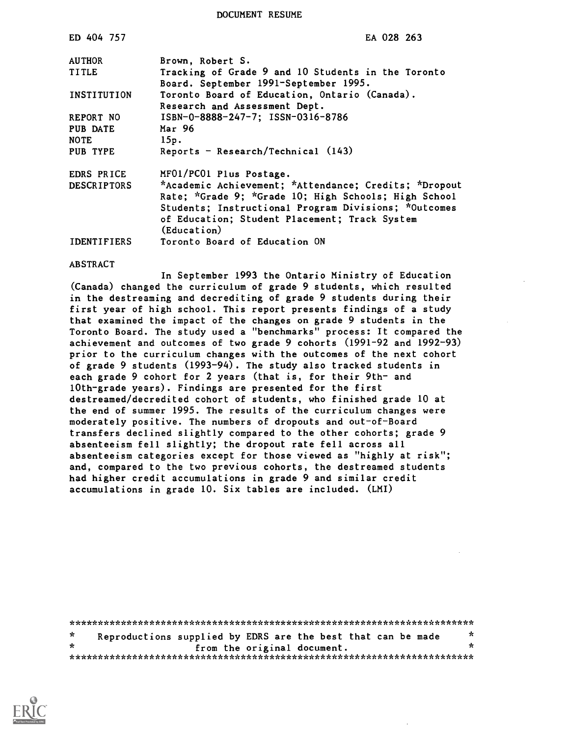DOCUMENT RESUME

| ED 404 757         | EA 028 263                                                                                  |
|--------------------|---------------------------------------------------------------------------------------------|
| <b>AUTHOR</b>      | Brown, Robert S.                                                                            |
| TITLE              | Tracking of Grade 9 and 10 Students in the Toronto<br>Board. September 1991-September 1995. |
| INSTITUTION        | Toronto Board of Education, Ontario (Canada).                                               |
|                    | Research and Assessment Dept.                                                               |
| REPORT NO          | ISBN-0-8888-247-7; ISSN-0316-8786                                                           |
| PUB DATE           | Mar 96                                                                                      |
| <b>NOTE</b>        | 15p.                                                                                        |
| PUB TYPE           | Reports - Research/Technical $(143)$                                                        |
| EDRS PRICE         | MF01/PC01 Plus Postage.                                                                     |
| <b>DESCRIPTORS</b> | *Academic Achievement; *Attendance; Credits; *Dropout                                       |
|                    | Rate; *Grade 9; *Grade 10; High Schools; High School                                        |
|                    | Students; Instructional Program Divisions; *Outcomes                                        |
|                    | of Education; Student Placement; Track System<br>(Education)                                |
| <b>IDENTIFIERS</b> | Toronto Board of Education ON                                                               |

#### ABSTRACT

In September 1993 the Ontario Ministry of Education (Canada) changed the curriculum of grade 9 students, which resulted in the destreaming and decrediting of grade 9 students during their first year of high school. This report presents findings of a study that examined the impact of the changes on grade 9 students in the Toronto Board. The study used a "benchmarks" process: It compared the achievement and outcomes of two grade 9 cohorts (1991-92 and 1992-93) prior to the curriculum changes with the outcomes of the next cohort of grade 9 students (1993-94). The study also tracked students in each grade 9 cohort for 2 years (that is, for their 9th- and 10th-grade years). Findings are presented for the first destreamed/decredited cohort of students, who finished grade 10 at the end of summer 1995. The results of the curriculum changes were moderately positive. The numbers of dropouts and out-of-Board transfers declined slightly compared to the other cohorts; grade 9 absenteeism fell slightly; the dropout rate fell across all absenteeism categories except for those viewed as "highly at risk"; and, compared to the two previous cohorts, the destreamed students had higher credit accumulations in grade 9 and similar credit accumulations in grade 10. Six tables are included. (LMI)

|         | Reproductions supplied by EDRS are the best that can be made |                             |  | × |  |
|---------|--------------------------------------------------------------|-----------------------------|--|---|--|
| $\star$ |                                                              | from the original document. |  | x |  |
|         |                                                              |                             |  |   |  |

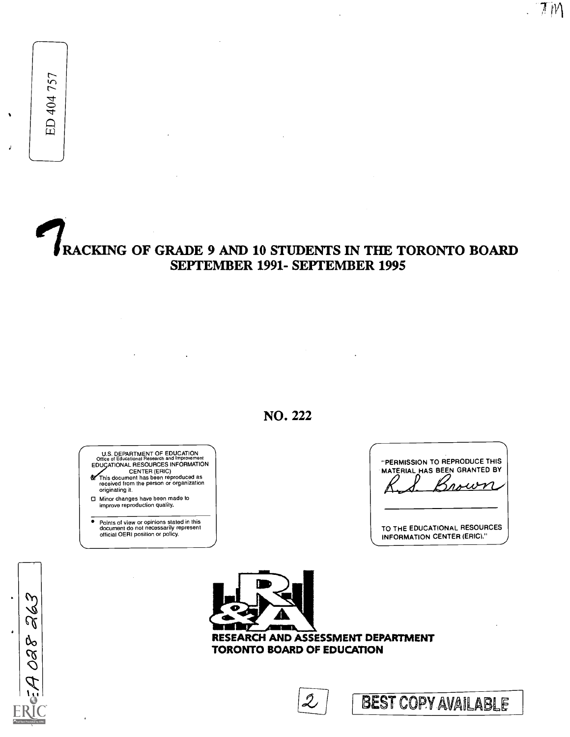ED 404 757

# RACKING OF GRADE 9 AND 10 STUDENTS IN THE TORONTO BOARD SEPTEMBER 1991- SEPTEMBER 1995

NO. 222

U.S. DEPARTMENT OF EDUCATION<br>Office of Educational Research and Improvement<br>EDUGATIONAL RESOURCES INFORMATION  $\mathbf{a}$ 

CENTER (ERIC) This document has been reproduced as received from the person or organization originating it.

Minor changes have been made to improve reproduction quality.

° Points of view or opinions stated in this document do not necessarily represent official OERI position or policy.

| "PERMISSION TO REPRODUCE THIS<br>MATERIAL HAS BEEN GRANTED BY<br>mour. |  |
|------------------------------------------------------------------------|--|
| TO THE EDUCATIONAL RESOURCES<br><b>INFORMATION CENTER (ERIC)."</b>     |  |

 $7M$ 

263  $\ddot{\bullet}$  $3804$ 



RESEARCH AND ASSESSMENT DEPARTMENT TORONTO BOARD OF EDUCATION

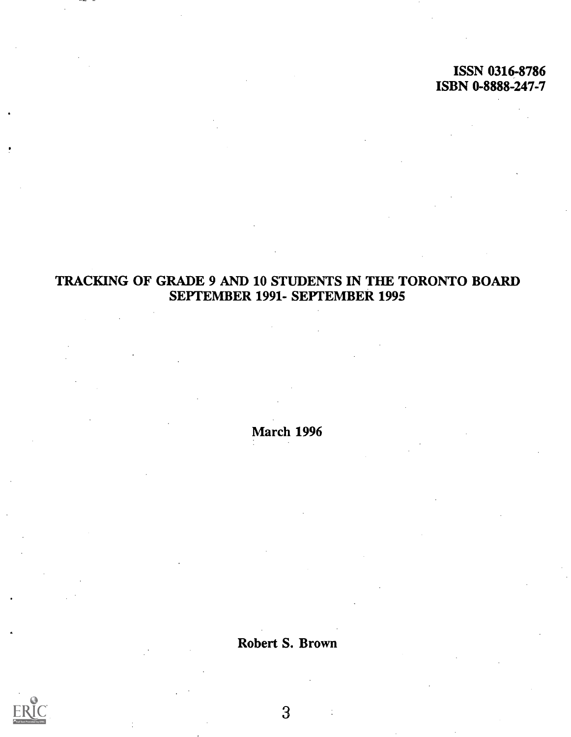## ISSN 0316-8786 ISBN 0-8888-247-7

# TRACKING OF GRADE 9 AND 10 STUDENTS IN THE TORONTO BOARD SEPTEMBER 1991- SEPTEMBER 1995

March 1996

Robert S. Brown

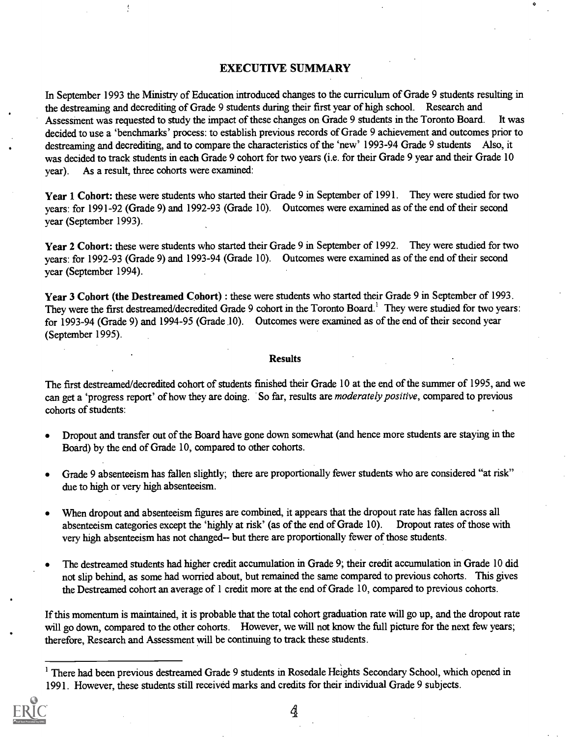#### EXECUTIVE SUMMARY

In September 1993 the Ministry of Education introduced changes to the curriculum of Grade 9 students resulting in the destreaming and decrediting of Grade 9 students during their first year of high school. Research and Assessment was requested to study the impact of these changes on Grade 9 students in the Toronto Board. It was decided to use a 'benchmarks' process: to establish previous records of Grade 9 achievement and outcomes prior to destreaming and decrediting, and to compare the characteristics of the 'new' 1993-94 Grade 9 students Also, it was decided to track students in each Grade 9 cohort for two years (i.e. for their Grade 9 year and their Grade 10 year). As a result, three cohorts were examined:

Year 1 Cohort: these were students who started their Grade 9 in September of 1991. They were studied for two years: for 1991-92 (Grade 9) and 1992-93 (Grade 10). Outcomes were examined as of the end of their second year (September 1993).

Year 2 Cohort: these were students who started their Grade 9 in September of 1992. They were studied for two years: for 1992-93 (Grade 9) and 1993-94 (Grade 10). Outcomes were examined as of the end of their second year (September 1994).

Year 3 Cohort (the Destreamed Cohort) : these were students who started their Grade 9 in September of 1993. They were the first destreamed/decredited Grade 9 cohort in the Toronto Board.' They were studied for two years: for 1993-94 (Grade 9) and 1994-95 (Grade 10). Outcomes were examined as of the end of their second year (September 1995).

#### Results

The first destreamed/decredited cohort of students finished their Grade 10 at the end of the summer of 1995, and we can get a 'progress report' of how they are doing. So far, results are moderately positive, compared to previous cohorts of students:

- Dropout and transfer out of the Board have gone down somewhat (and hence more students are staying in the Board) by the end of Grade 10, compared to other cohorts.
- Grade 9 absenteeism has fallen slightly; there are proportionally fewer students who are considered "at risk" due to high or very high absenteeism.
- When dropout and absenteeism figures are combined, it appears that the dropout rate has fallen across all absenteeism categories except the 'highly at risk' (as of the end of Grade 10). Dropout rates of those with very high absenteeism has not changed-- but there are proportionally fewer of those students.
- The destreamed students had higher credit accumulation in Grade 9; their credit accumulation in Grade 10 did not slip behind, as some had worried about, but remained the same compared to previous cohorts. This gives the Destreamed cohort an average of 1 credit more at the end of Grade 10, compared to previous cohorts.

If this momentum is maintained, it is probable that the total cohort graduation rate will go up, and the dropout rate will go down, compared to the other cohorts. However, we will not know the full picture for the next few years; therefore, Research and Assessment will be continuing to track these students.

<sup>&</sup>lt;sup>1</sup> There had been previous destreamed Grade 9 students in Rosedale Heights Secondary School, which opened in 1991. However, these students still received marks and credits for their individual Grade 9 subjects.

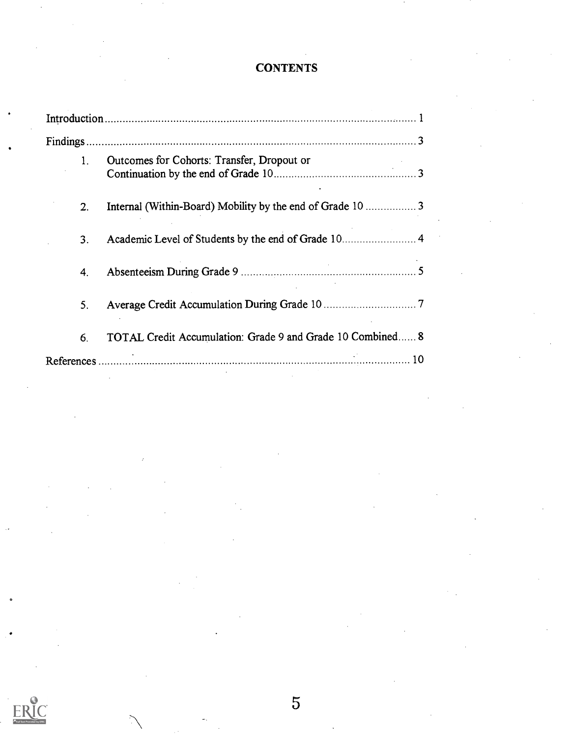## **CONTENTS**

| 1. | Outcomes for Cohorts: Transfer, Dropout or                 |
|----|------------------------------------------------------------|
| 2. | Internal (Within-Board) Mobility by the end of Grade 10 3  |
| 3. | Academic Level of Students by the end of Grade 10 4        |
| 4. |                                                            |
| 5. |                                                            |
| 6. | TOTAL Credit Accumulation: Grade 9 and Grade 10 Combined 8 |
|    |                                                            |



 $\overline{5}$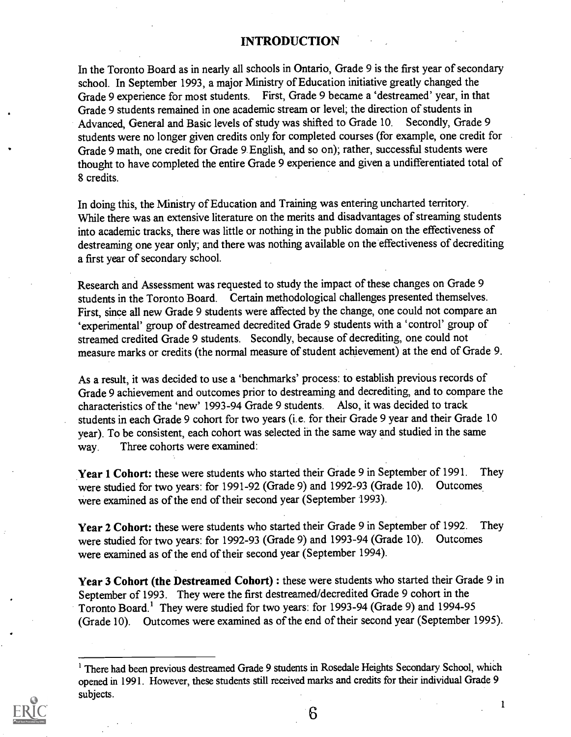#### INTRODUCTION

In the Toronto Board as in nearly all schools in Ontario, Grade 9 is the first year of secondary school. In September 1993, a major Ministry of Education initiative greatly changed the Grade 9 experience for most students. First, Grade 9 became a `destreamed' year, in that Grade 9 students remained in one academic stream or level; the direction of students in Advanced, General and Basic levels of study was shifted to Grade 10. Secondly, Grade 9 students were no longer given credits only for completed courses (for example, one credit for Grade 9 math, one credit for Grade 9. English, and so on); rather, successful students were thought to have completed the entire Grade 9 experience and given a undifferentiated total of 8 credits.

In doing this, the Ministry of Education and Training was entering uncharted territory. While there was an extensive literature on the merits and disadvantages of streaming students into academic tracks, there was little or nothing in the public domain on the effectiveness of destreaming one year only; and there was nothing available on the effectiveness of decrediting a first year of secondary school.

Research and Assessment was requested to study the impact of these changes on Grade 9 students in the Toronto Board. Certain methodological challenges presented themselves. First, since all new Grade 9 students were affected by the change, one could not compare an `experimental' group of destreamed decredited Grade 9 students with a 'control' group of streamed credited Grade 9 students. Secondly, because of decrediting, one could not measure marks or credits (the normal measure of student achievement) at the end of Grade 9.

As a result, it was decided to use a 'benchmarks' process: to establish previous records of Grade 9 achievement and outcomes prior to destreaming and decrediting, and to compare the characteristics of the 'new' 1993-94 Grade 9 students. Also, it was decided to track students in each Grade 9 cohort for two years (i.e. for their Grade 9 year and their Grade 10 year). To be consistent, each cohort was selected in the same way and studied in the same way. Three cohorts were examined:

Year 1 Cohort: these were students who started their Grade 9 in September of 1991. They were studied for two years: for 1991-92 (Grade 9) and 1992-93 (Grade 10). Outcomes were examined as of the end of their second year (September 1993).

Year 2 Cohort: these were students who started their Grade 9 in September of 1992. They were studied for two years: for 1992-93 (Grade 9) and 1993-94 (Grade 10). Outcomes were examined as of the end of their second year (September 1994).

Year 3 Cohort (the Destreamed Cohort) : these were students who started their Grade 9 in September of 1993. They were the first destreamed/decredited Grade 9 cohort in the Toronto Board.' They were studied for two years: for 1993-94 (Grade 9) and 1994-95 (Grade 10). Outcomes were examined as of the end of their second year (September 1995).

There had been previous destreamed Grade 9 students in Rosedale Heights Secondary School, which opened in 1991. However, these students still received marks and credits for their individual Grade 9 subjects.



6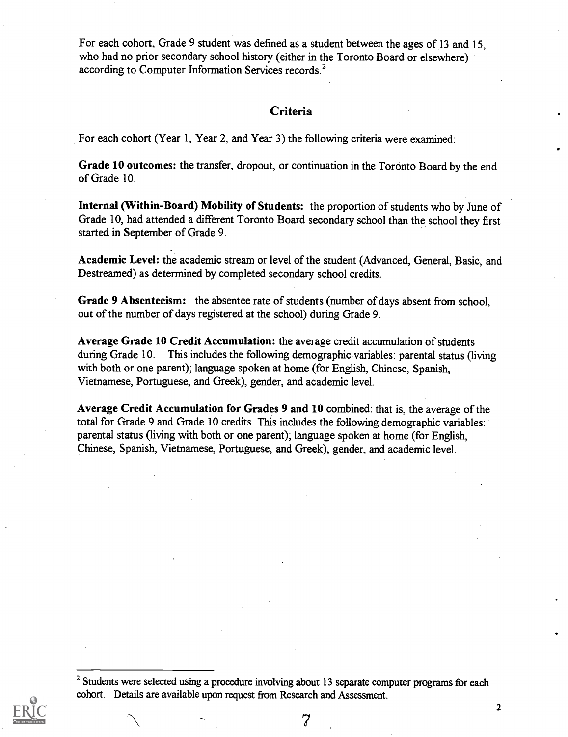For each cohort, Grade 9 student was defined as a student between the ages of 13 and 15, who had no prior secondary school history (either in the Toronto Board or elsewhere) according to Computer Information Services records.<sup>2</sup>

#### Criteria

For each cohort (Year 1, Year 2, and Year 3) the following criteria were examined:

Grade 10 outcomes: the transfer, dropout, or continuation in the Toronto Board by the end of Grade 10.

Internal (Within-Board) Mobility of Students: the proportion of students who by June of Grade 10, had attended a different Toronto Board secondary school than the school they first started in September of Grade 9.

Academic Level: the academic stream or level of the student (Advanced, General, Basic, and Destreamed) as determined by completed secondary school credits.

Grade 9 Absenteeism: the absentee rate of students (number of days absent from school, out of the number of days registered at the school) during Grade 9.

Average Grade 10 Credit Accumulation: the average credit accumulation of students during Grade 10. This includes the following demographic variables: parental status (living with both or one parent); language spoken at home (for English, Chinese, Spanish, Vietnamese, Portuguese, and Greek), gender, and academic level.

Average Credit Accumulation for Grades 9 and 10 combined: that is, the average of the total for Grade 9 and Grade 10 credits. This includes the following demographic variables: parental status (living with both or one parent); language spoken at home (for English, Chinese, Spanish, Vietnamese, Portuguese, and Greek), gender, and academic level.

<sup>&</sup>lt;sup>2</sup> Students were selected using a procedure involving about 13 separate computer programs for each cohort. Details are available upon request from Research and Assessment.



7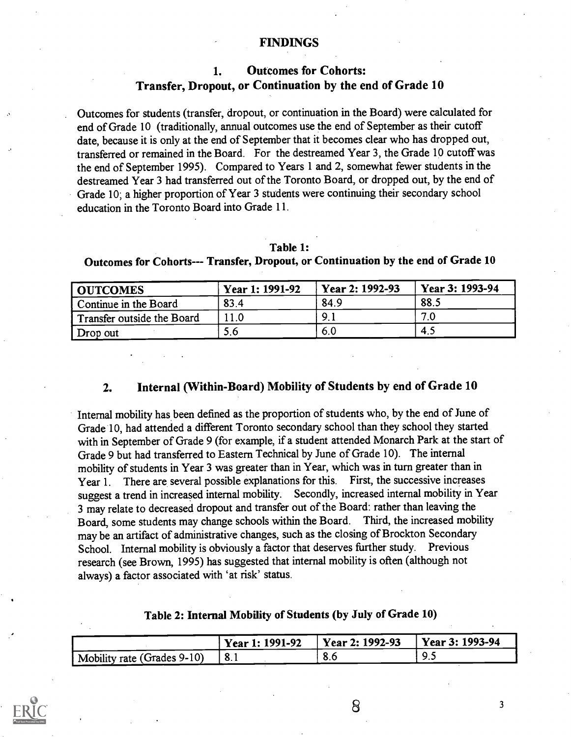#### FINDINGS

## 1. Outcomes for Cohorts: Transfer, Dropout, or Continuation by the end of Grade 10

Outcomes for students (transfer, dropout, or continuation in the Board) were calculated for end of Grade 10 (traditionally, annual outcomes use the end of September as their cutoff date, because it is only at the end of September that it becomes clear who has dropped out, transferred or remained in the Board. For the destreamed Year 3, the Grade 10 cutoff was the end of September 1995). Compared to Years 1 and 2, somewhat fewer students in the destreamed Year 3 had transferred out of the Toronto Board, or dropped out, by the end of Grade 10; a higher proportion of Year 3 students were continuing their secondary school education in the Toronto Board into Grade 11.

#### Table 1:

| OUTCOMES                   | Year 1: 1991-92 | Year 2: 1992-93 | Year 3: 1993-94 |
|----------------------------|-----------------|-----------------|-----------------|
| Continue in the Board      | 83.4            | 84.9            | 88.1            |
| Transfer outside the Board |                 |                 | 7.0             |
| Drop out                   | 5.6             | 6.O             | 4.1             |

## Outcomes for Cohorts--- Transfer, Dropout, or Continuation by the end of Grade 10

#### 2. Internal (Within-Board) Mobility of Students by end of Grade 10

Internal mobility has been defined as the proportion of students who, by the end of June of Grade 10, had attended a different Toronto secondary school than they school they started with in September of Grade 9 (for example, if a student attended Monarch Park at the start of Grade 9 but had transferred to Eastern Technical by June of Grade 10). The internal mobility of students in Year 3 was greater than in Year, which was in turn greater than in Year 1. There are several possible explanations for this. First, the successive increases suggest a trend in increased internal mobility. Secondly, increased internal mobility in Year 3 may relate to decreased dropout and transfer out of the Board: rather than leaving the Board, some students may change schools within the Board. Third, the increased mobility may be an artifact of administrative changes, such as the closing of Brockton Secondary School. Internal mobility is obviously a factor that deserves further study. Previous research (see Brown, 1995) has suggested that internal mobility is often (although not always) a factor associated with 'at risk' status.

#### Table 2: Internal Mobility of Students (by July of Grade 10)

|                             | Year 1: 1991-92 | Year 2: 1992-93 | Year 3: 1993-94 |  |
|-----------------------------|-----------------|-----------------|-----------------|--|
| Mobility rate (Grades 9-10) |                 | o.u             | <i></i>         |  |



8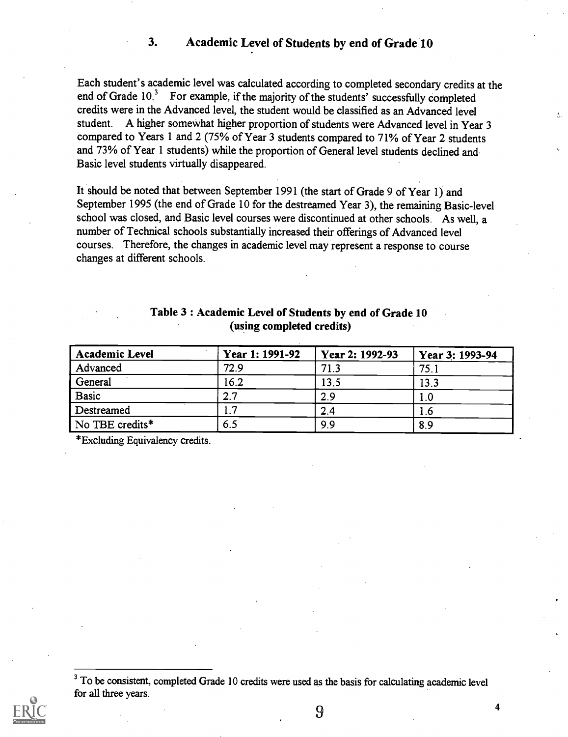#### 3. Academic Level of Students by end of Grade 10

Each student's academic level was calculated according to completed secondary credits at the end of Grade 10.3 For example, if the majority of the students' successfully completed credits were in the Advanced level, the student would be classified as an Advanced level student. A higher somewhat higher proportion of students were Advanced level in Year 3 compared to Years 1 and 2 (75% of Year 3 students compared to 71% of Year 2 students and 73% of Year 1 students) while the proportion of General level students declined and Basic level students virtually disappeared.

It should be noted that between September 1991 (the start of Grade 9 of Year 1) and September 1995 (the end of Grade 10 for the destreamed Year 3), the remaining Basic-level school was closed, and Basic level courses were discontinued at other schools. As well, a number of Technical schools substantially increased their offerings of Advanced level courses. Therefore, the changes in academic level may represent a response to course changes at different schools.

| <b>Academic Level</b> | Year 1: 1991-92 | Year 2: 1992-93 | Year 3: 1993-94 |
|-----------------------|-----------------|-----------------|-----------------|
| Advanced              | 72.9            | 71.3            | 75.1            |
| General               | 16.2            | 13.5            | 13.3            |
| <b>Basic</b>          | 2.7             | 2.9             | l.0             |
| Destreamed            |                 | 2.4             | l.6             |
| No TBE credits*       | 6.5             | 9.9             | 8.9             |

## Table 3 : Academic Level of Students by end of Grade 10 (using completed credits)

\*Excluding Equivalency credits.

<sup>&</sup>lt;sup>3</sup> To be consistent, completed Grade 10 credits were used as the basis for calculating academic level for all three years.



9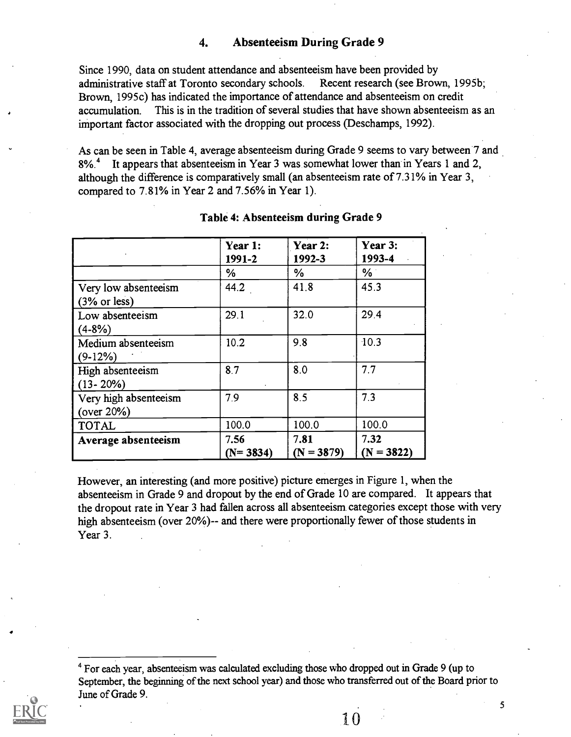#### 4. Absenteeism During Grade 9

Since 1990, data on student attendance and absenteeism have been provided by administrative staff at Toronto secondary schools. Recent research (see Brown, 1995b; Brown, 1995c) has indicated the importance of attendance and absenteeism on credit accumulation. This is in the tradition of several studies that have shown absenteeism as an important factor associated with the dropping out process (Deschamps, 1992).

As can be seen in Table 4, average absenteeism during Grade 9 seems to vary between 7 and 8%.<sup>4</sup> It appears that absenteeism in Year 3 was somewhat lower than in Years 1 and 2, although the difference is comparatively small (an absenteeism rate of 7.31% in Year 3, compared to 7.81% in Year 2 and 7.56% in Year 1).

|                                                        | Year 1:<br>1991-2  | Year 2:<br>1992-3    | Year 3:<br>1993-4    |
|--------------------------------------------------------|--------------------|----------------------|----------------------|
|                                                        | ℅                  | $\frac{6}{6}$        | $\%$                 |
| Very low absenteeism<br>$(3% \text{ or } \text{less})$ | 44.2               | 41.8                 | 45.3                 |
| Low absenteeism<br>$(4-8%)$                            | 29.1               | 32.0                 | 29.4                 |
| Medium absenteeism<br>$(9-12%)$                        | 10.2               | 9.8                  | 10.3                 |
| High absenteeism<br>$(13 - 20\%)$                      | 8.7                | 8.0                  | 7.7                  |
| Very high absenteeism<br>(over $20\%$ )                | 7.9                | 8.5                  | 7.3                  |
| <b>TOTAL</b>                                           | 100.0              | 100.0                | 100.0                |
| Average absenteeism                                    | 7.56<br>$(N=3834)$ | 7.81<br>$(N = 3879)$ | 7.32<br>$(N = 3822)$ |

#### Table 4: Absenteeism during Grade 9

However, an interesting (and more positive) picture emerges in Figure 1, when the absenteeism in Grade 9 and dropout by the end of Grade 10 are compared. It appears that the dropout rate in Year 3 had fallen across all absenteeism categories except those with very high absenteeism (over 20%)-- and there were proportionally fewer of those students in Year 3.

<sup>4</sup> For each year, absenteeism was calculated excluding those who dropped out in Grade 9 (up to September, the beginning of the next school year) and those who transferred out of the Board prior to June of Grade 9.

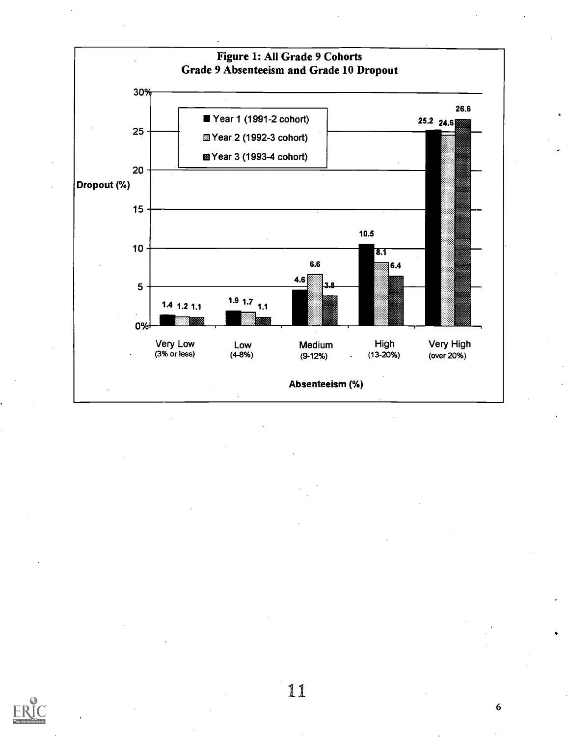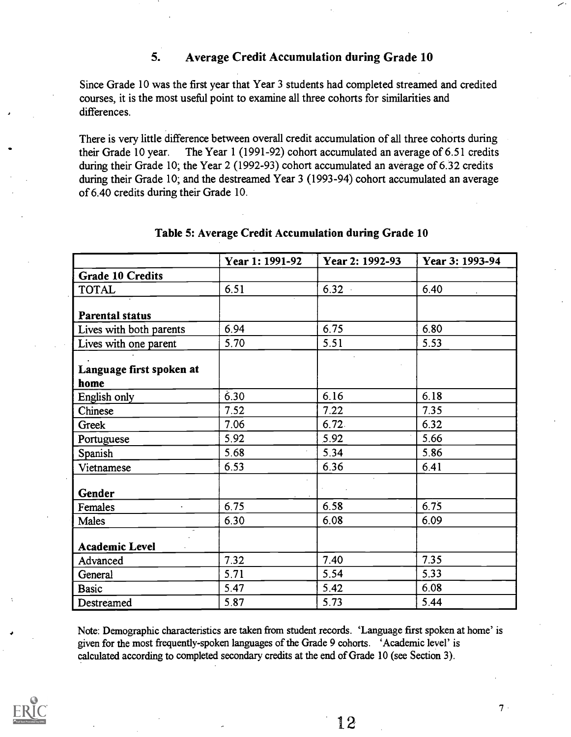#### 5. Average Credit Accumulation during Grade 10

Since Grade 10 was the first year that Year 3 students had completed streamed and credited courses, it is the most useful point to examine all three cohorts for similarities and differences.

There is very little difference between overall credit accumulation of all three cohorts during their Grade 10 year. The Year 1 (1991-92) cohort accumulated an average of 6.51 credits during their Grade 10; the Year 2 (1992-93) cohort accumulated an average of 6.32 credits during their Grade 10; and the destreamed Year 3 (1993-94) cohort accumulated an average of 6.40 credits during their Grade 10.

|                          | Year 1: 1991-92 | Year 2: 1992-93 | Year 3: 1993-94 |
|--------------------------|-----------------|-----------------|-----------------|
| <b>Grade 10 Credits</b>  |                 |                 |                 |
| <b>TOTAL</b>             | 6.51            | $6.32 -$        | 6.40            |
| <b>Parental status</b>   |                 |                 |                 |
| Lives with both parents  | 6.94            | 6.75            | 6.80            |
| Lives with one parent    | 5.70            | 5.51            | 5.53            |
|                          |                 |                 |                 |
| Language first spoken at |                 |                 |                 |
| home                     |                 |                 |                 |
| English only             | 6.30            | 6.16            | 6.18            |
| Chinese                  | 7.52            | 7.22            | 7.35            |
| Greek                    | 7.06            | 6.72            | 6.32            |
| Portuguese               | 5.92            | 5.92            | 5.66            |
| Spanish                  | 5.68            | 5.34            | 5.86            |
| Vietnamese               | 6.53            | 6.36            | 6.41            |
| <b>Gender</b>            |                 |                 |                 |
| Females                  | 6.75            | 6.58            | 6.75            |
| Males                    | 6.30            | 6.08            | 6.09            |
| <b>Academic Level</b>    |                 |                 |                 |
|                          | 7.32            | 7.40            | 7.35            |
| Advanced                 |                 | 5.54            | 5.33            |
| General                  | 5.71            |                 |                 |
| <b>Basic</b>             | 5.47            | 5.42            | 6.08            |
| Destreamed               | 5.87            | 5.73            | 5.44            |

#### Table 5: Average Credit Accumulation during Grade 10

Note: Demographic characteristics are taken from student records. 'Language first spoken at home' is given for the most frequently-spoken languages of the Grade 9 cohorts. 'Academic level' is calculated according to completed secondary credits at the end of Grade 10 (see Section 3).



12

 $7.$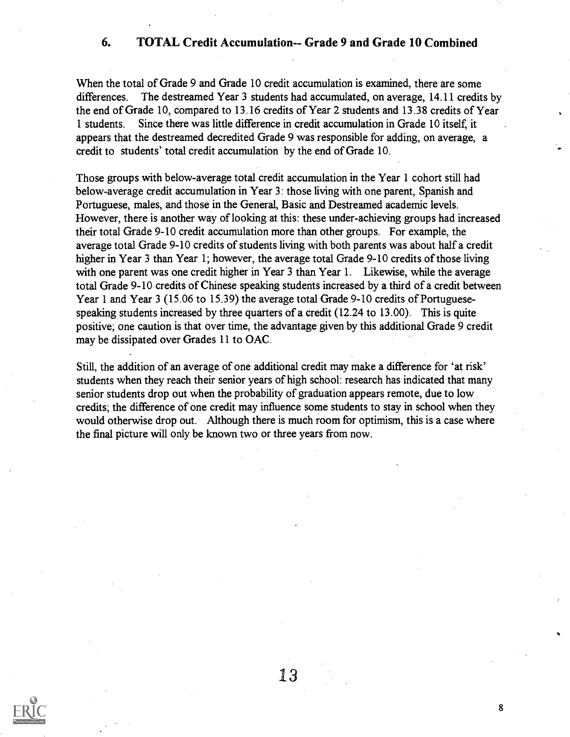#### 6. TOTAL Credit Accumulation-- Grade 9 and Grade 10 Combined

When the total of Grade 9 and Grade 10 credit accumulation is examined, there are some differences. The destreamed Year 3 students had accumulated, on average, 14.11 credits by the end of Grade 10, compared to 13.16 credits of Year 2 students and 13.38 credits of Year 1 students. Since there was little difference in credit accumulation in Grade 10 itself, it appears that the destreamed decredited Grade 9 was responsible for adding, on average, a credit to students' total credit accumulation by the end of Grade 10.

Those groups with below-average total credit accumulation in the Year 1 cohort still had below-average credit accumulation in Year 3: those living with one parent, Spanish and Portuguese, males, and those in the General, Basic and Destreamed academic levels. However, there is another way of looking at this: these under-achieving groups had increased their total Grade 9-10 credit accumulation more than other groups. For example, the average total Grade 9-10 credits of students living with both parents was about half a credit higher in Year 3 than Year 1; however, the average total Grade 9-10 credits of those living with one parent was one credit higher in Year 3 than Year 1. Likewise, while the average total Grade 9-10 credits of Chinese speaking students increased by a third of a credit between Year 1 and Year 3 (15.06 to 15.39) the average total Grade 9-10 credits of Portuguesespeaking students increased by three quarters of a credit (12.24 to 13.00). This is quite positive; one caution is that over time, the advantage given by this additional Grade 9 credit may be dissipated over Grades 11 to OAC.

Still, the addition of an average of one additional credit may make a difference for 'at risk' students when they reach their senior years of high school: research has indicated that many senior students drop out when the probability of graduation appears remote, due to low credits; the difference of one credit may influence some students to stay in school when they would otherwise drop out. Although there is much room for optimism, this is a case where the final picture will only be known two or three years from now.

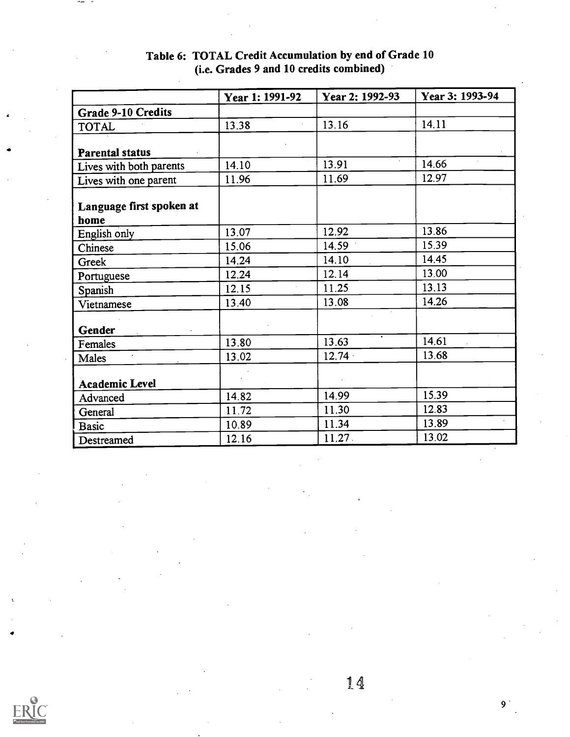|                          | Year 1: 1991-92 | Year 2: 1992-93 | Year 3: 1993-94 |
|--------------------------|-----------------|-----------------|-----------------|
| Grade 9-10 Credits       |                 |                 |                 |
| <b>TOTAL</b>             | 13.38           | 13.16           | 14.11           |
|                          |                 |                 |                 |
| <b>Parental status</b>   |                 |                 |                 |
| Lives with both parents  | 14.10           | 13.91           | 14.66           |
| Lives with one parent    | 11.96           | 11.69           | 12.97           |
|                          |                 |                 |                 |
| Language first spoken at |                 |                 |                 |
| home                     | 13.07           | 12.92           | 13.86           |
| English only             | 15.06           | 14.59           | 15.39           |
| Chinese                  | 14.24           | 14.10           | 14.45           |
| Greek                    |                 | 12.14           | 13.00           |
| Portuguese               | 12.24           | 11.25           | 13.13           |
| Spanish                  | 12.15           |                 |                 |
| Vietnamese               | 13.40           | 13.08           | 14.26           |
| Gender                   |                 |                 |                 |
| Females                  | 13.80           | 13.63           | 14.61           |
| Males                    | 13.02           | $12.74 -$       | 13.68           |
|                          |                 |                 |                 |
| <b>Academic Level</b>    |                 |                 |                 |
| Advanced                 | 14.82           | 14.99           | 15.39           |
| General                  | 11.72           | 11.30           | 12.83           |
| <b>Basic</b>             | 10.89           | 11.34           | 13.89           |
| Destreamed               | 12.16           | 11.27           | 13.02           |

## Table 6: TOTAL Credit Accumulation by end of Grade 10 (i.e. Grades 9 and 10 credits combined)

14

 $9<sup>1</sup>$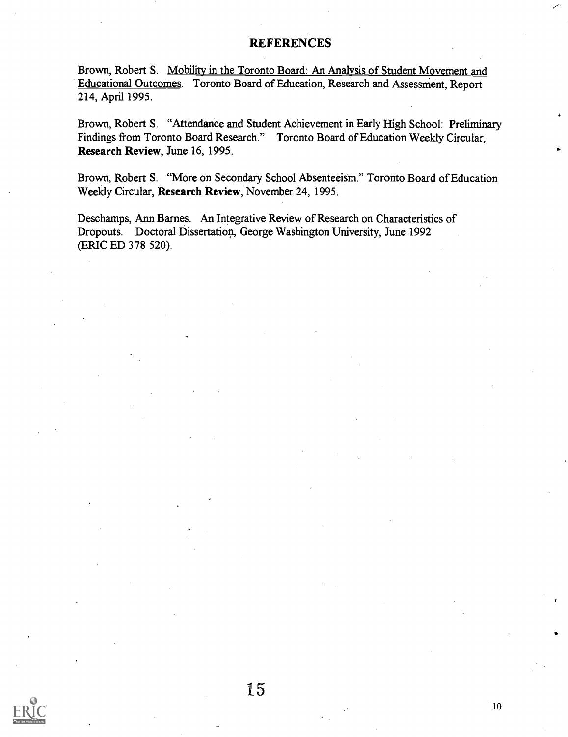#### **REFERENCES**

Brown, Robert S. Mobility in the Toronto Board: An Analysis of Student Movement and Educational Outcomes. Toronto Board of Education, Research and Assessment, Report 214, April 1995.

Brown, Robert S. "Attendance and Student Achievement in Early High School: Preliminary Findings from Toronto Board Research." Toronto Board of Education Weekly Circular, Research Review, June 16, 1995.

Brown, Robert S. "More on Secondary School Absenteeism." Toronto Board of Education Weekly Circular, Research Review, November 24, 1995.

Deschamps, Ann Barnes. An Integrative Review of Research on Characteristics of Dropouts. Doctoral Dissertation, George Washington University, June 1992 (ERIC ED 378 520).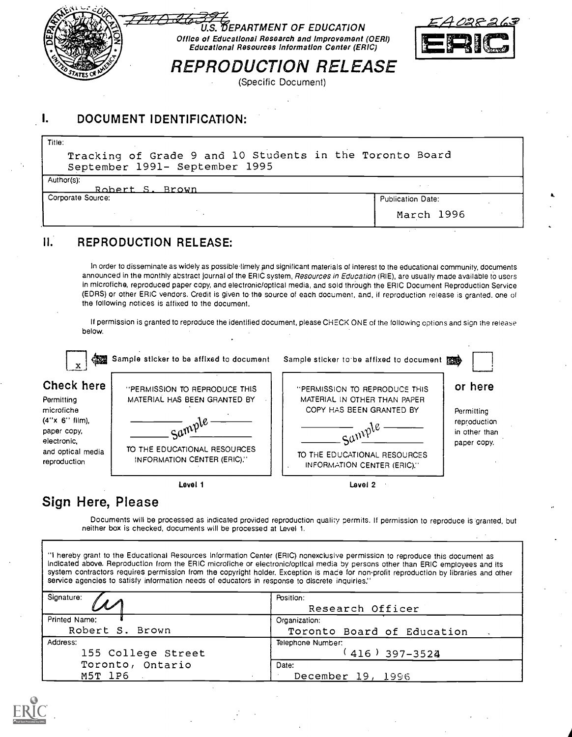

## I. DOCUMENT IDENTIFICATION:

Tracking of Grade 9 and 10 Students in the Toronto Board September 1991- September 1995

Author(s):

Title:

Robert S. Brown Corporate Source:

| Publication Date: |  |
|-------------------|--|
| March 1996        |  |

## II. REPRODUCTION RELEASE:

In order to disseminate as widely as possible timely and significant materials of interest to the educational community, documents announced in the monthly abstract journal of the ERIC system, Resources in Education (RIE), are usually made available to users in microfiche, reproduced paper copy, and electronic/optical media, and sold through the ERIC Document Reproduction Service (EDRS) or other ERIC vendors. Credit is given to the source of each document, and, it reproduction release is granted, one of the following notices is affixed to the document.

If permission is granted to reproduce the identified document, please CHECK ONE of the following options and sign the release below.



# Sign Here, Please

Documents will be processed as indicated provided reproduction quality permits. If permission to reproduce is granted, but neither box is checked, documents will be processed at Level 1.

"I hereby grant to the Educational Resources Information Center (ERIC) nonexclusive permission to reproduce this document as Indicated above. Reproduction from the ERIC microfiche or electronic/optical media by persons other than ERIC employees and its system contractors requires permission from the copyright holder. Exception is mace for non-profit reproduction by libraries and other service agencies to satisfy information needs of educators in response to discrete inquiries."

| Signature:         | Position:                  |  |  |
|--------------------|----------------------------|--|--|
|                    | Research Officer           |  |  |
| Printed Name:      | Organization:              |  |  |
| Robert S. Brown    | Toronto Board of Education |  |  |
| Address:           | Telephone Number:          |  |  |
| 155 College Street | $(416)$ 397-3524           |  |  |
| Toronto, Ontario   | Date:                      |  |  |
| M5T 1P6            | December 19, 1996          |  |  |